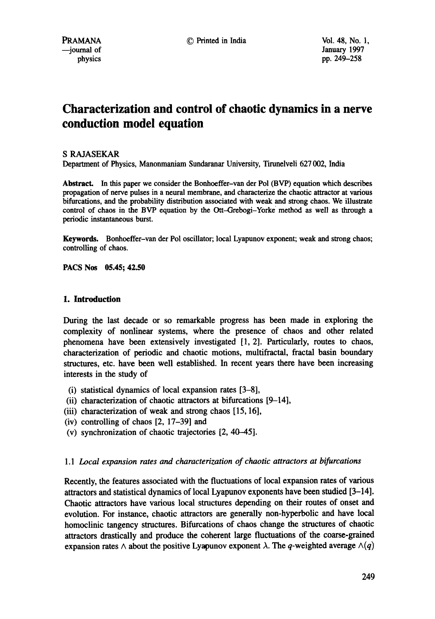# **Characterization and control of chaotic dynamics in a nerve conduction model equation**

## S RAJASEKAR

Department of Physics, Manonmaniam Sundaranar University, Tirunelveli 627 002, India

**Abstract.** In this paper we consider the Bonhoeffer-van der Pol (BVP) equation which describes propagation of nerve pulses in a neural membrane, and characterize the chaotic attractor at various bifurcations, and the probability distribution associated with weak and strong chaos. We illustrate control of chaos in the BVP equation by the Ott-Grebogi-Yorke' method as well as through a periodic instantaneous burst.

Keywords. Bonhoeffer-van der Pol oscillator; local Lyapunov exponent; weak and strong chaos; controlling of chaos.

**PACS Nos 05.45; 42.50** 

## **1. Introduction**

During the last decade or so remarkable progress has been made in exploring the complexity of nonlinear systems, where the presence of chaos and other related phenomena have been extensively investigated [1, 2]. Particularly, routes to chaos, characterization of periodic and chaotic motions, multifractal, fractal basin boundary structures, etc. have been well established. In recent years there have been increasing interests in the study of

- (i) statistical dynamics of local expansion rates [3-8],
- (ii) characterization of chaotic attractors at bifurcations [9-14],
- (iii) characterization of weak and strong chaos [15, 16],
- (iv) controlling of chaos [2, 17-39] and
- (v) synchronization of chaotic trajectories [2, 40-45].

## 1.1 *Local expansion rates and characterization of chaotic attractors at bifurcations*

Recently, the features associated with the fluctuations of local expansion rates of various attractors and statistical dynamics of local Lyaptmov exponents have been studied [3-14]. Chaotic attractors have various local structures depending on their routes of onset and evolution. For instance, chaotic attractors are generally non-hyperbolic and have local homoclinic tangency structures. Bifurcations of chaos change the structures of chaotic attractors drastically and produce the coherent large fluctuations of the coarse-grained expansion rates  $\wedge$  about the positive Lyapunov exponent  $\lambda$ . The q-weighted average  $\wedge(q)$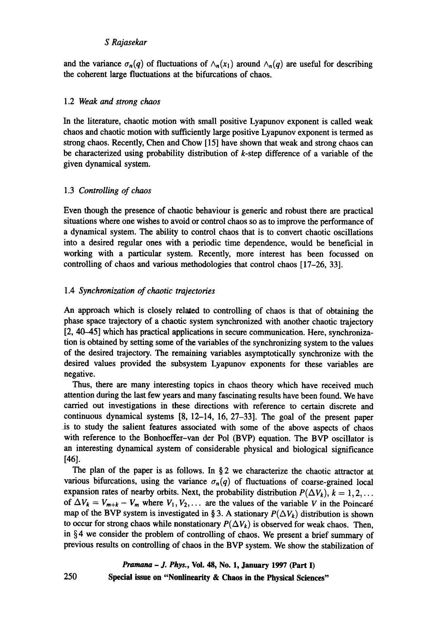and the variance  $\sigma_n(q)$  of fluctuations of  $\wedge_n(x_1)$  around  $\wedge_n(q)$  are useful for describing the coherent large fluctuations at the bifurcations of chaos.

## *1.2 Weak and strong chaos*

In the literature, chaotic motion with small positive Lyapunov exponent is called weak chaos and chaotic motion with sufficiently large positive Lyapunov exponent is termed as strong chaos. Recently, Chen and Chow [15] have shown that weak and strong chaos can be characterized using probability distribution of k-step difference of a variable of the given dynamical system.

## 1.3 *Controlling of chaos*

Even though the presence of chaotic behaviour is generic and robust there are practical situations where one wishes to avoid or control chaos so as to improve the performance of a dynamical system. The ability to control chaos that is to convert chaotic oscillations into a desired regular ones with a periodic time dependence, would be beneficial in working with a particular system. Recently, more interest has been focussed on controlling of chaos and various methodologies that control chaos [17-26, 33].

## 1.4 *Synchronization of chaotic trajectories*

An approach which is closely related to controlling of chaos is that of obtaining the phase space trajectory of a chaotic system synchronized with another chaotic trajectory [2, 40-45] which has practical applications in secure communication. Here, synchronization is obtained by setting some of the variables of the synchronizing system to the values of the desired trajectory. The remaining variables asymptotically synchronize with the desired values provided the subsystem Lyapunov exponents for these variables are negative.

Thus, there are many interesting topics in chaos theory which have received much attention during the last few years and many fascinating results have been found. We have carried out investigations in these directions with reference to certain discrete and continuous dynamical systems [8, 12-14, 16, 27-33]. The goal of the present paper .is to study the salient features associated with some of the above aspects of chaos with reference to the Bonhoeffer-van der Pol (BVP) equation. The BVP oscillator is an interesting dynamical system of considerable physical and biological significance [46].

The plan of the paper is as follows. In § 2 we characterize the chaotic attractor at various bifurcations, using the variance  $\sigma_n(q)$  of fluctuations of coarse-grained local expansion rates of nearby orbits. Next, the probability distribution  $P(\Delta V_k)$ ,  $k = 1, 2, \ldots$ of  $\Delta V_k = V_{m+k} - V_m$  where  $V_1, V_2, \ldots$  are the values of the variable V in the Poincaré map of the BVP system is investigated in § 3. A stationary  $P(\Delta V_k)$  distribution is shown to occur for strong chaos while nonstationary  $P(\Delta V_k)$  is observed for weak chaos. Then, in § 4 we consider the problem of controlling of chaos. We present a brief summary of previous results on controlling of chaos in the BVP system. We show the stabilization of

## *Pramana - J. Phys.,* **Vol. 48, No. 1, January 1997 (Part I)**

250

**Special issue on "Nonlinearity & Chaos in the Physical Sciences"**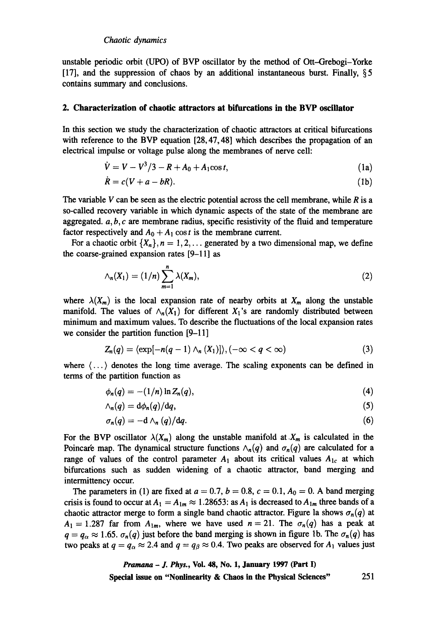unstable periodic orbit (UPO) of BVP oscillator by the method of Ott-Grebogi-Yorke [17], and the suppression of chaos by an additional instantaneous burst. Finally,  $\S 5$ contains summary and conclusions.

## **2. Characterization of chaotic attractors at bifurcations in the BVP oscillator**

In this section we study the characterization of chaotic attractors at critical bifurcations with reference to the BVP equation [28, 47, 48] which describes the propagation of an electrical impulse or voltage pulse along the membranes of nerve cell:

$$
\dot{V} = V - V^3/3 - R + A_0 + A_1 \cos t, \tag{1a}
$$

$$
\dot{R} = c(V + a - bR). \tag{1b}
$$

The variable V can be seen as the electric potential across the cell membrane, while  $R$  is a so-called recovery variable in which dynamic aspects of the state of the membrane are aggregated,  $a, b, c$  are membrane radius, specific resistivity of the fluid and temperature factor respectively and  $A_0 + A_1 \cos t$  is the membrane current.

For a chaotic orbit  $\{X_n\}, n = 1, 2, \ldots$  generated by a two dimensional map, we define the coarse-grained expansion rates [9-11] as

$$
\wedge_n(X_1) = (1/n) \sum_{m=1}^n \lambda(X_m), \qquad (2)
$$

where  $\lambda(X_m)$  is the local expansion rate of nearby orbits at  $X_m$  along the unstable manifold. The values of  $\wedge_n(X_1)$  for different  $X_1$ 's are randomly distributed between minimum and maximum values. To describe the fluctuations of the local expansion rates we consider the partition function [9-11]

$$
Z_n(q) = \langle \exp[-n(q-1) \wedge_n (X_1)] \rangle, (-\infty < q < \infty)
$$
 (3)

where  $\langle \ldots \rangle$  denotes the long time average. The scaling exponents can be defined in terms of the partition function as

$$
\phi_n(q) = -(1/n) \ln Z_n(q), \qquad (4)
$$

$$
\wedge_n(q) = \mathrm{d}\phi_n(q)/\mathrm{d}q,\tag{5}
$$

$$
\sigma_n(q) = -\mathrm{d}\wedge_n(q)/\mathrm{d}q. \tag{6}
$$

For the BVP oscillator  $\lambda(X_m)$  along the unstable manifold at  $X_m$  is calculated in the Poincaré map. The dynamical structure functions  $\wedge_n(q)$  and  $\sigma_n(q)$  are calculated for a range of values of the control parameter  $A_1$  about its critical values  $A_{1c}$  at which bifurcations such as sudden widening of a chaotic attractor, band merging and intermittency occur.

The parameters in (1) are fixed at  $a = 0.7$ ,  $b = 0.8$ ,  $c = 0.1$ ,  $A<sub>0</sub> = 0$ . A band merging crisis is found to occur at  $A_1 = A_{1m} \approx 1.28653$ : as  $A_1$  is decreased to  $A_{1m}$  three bands of a chaotic attractor merge to form a single band chaotic attractor. Figure la shows  $\sigma_n(q)$  at  $A_1 = 1.287$  far from  $A_{1m}$ , where we have used  $n = 21$ . The  $\sigma_n(q)$  has a peak at  $q = q_{\alpha} \approx 1.65$ .  $\sigma_n(q)$  just before the band merging is shown in figure 1b. The  $\sigma_n(q)$  has two peaks at  $q = q_\alpha \approx 2.4$  and  $q = q_\beta \approx 0.4$ . Two peaks are observed for  $A_1$  values just

*Pramana - J. Phys.,* **Vol. 48, No. 1, January 1997 (Part I) Special issue on "Nonlinearity & Chaos in the Physical Sciences"** 251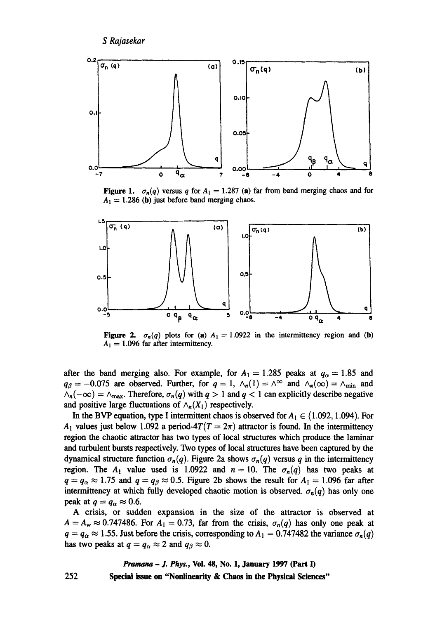

**Figure 1.**  $\sigma_n(q)$  versus q for  $A_1 = 1.287$  (a) far from band merging chaos and for  $A_1 = 1.286$  (b) just before band merging chaos.



Figure 2.  $\sigma_n(q)$  plots for (a)  $A_1 = 1.0922$  in the intermittency region and (b)  $A_1 = 1.096$  far after intermittency.

after the band merging also. For example, for  $A_1 = 1.285$  peaks at  $q_\alpha = 1.85$  and  $q_{\beta} = -0.075$  are observed. Further, for  $q = 1$ ,  $\wedge_n(1) = \wedge^{\infty}$  and  $\wedge_n(\infty) = \wedge_{\min}$  and  $\wedge_n(-\infty) = \wedge_{\max}$ . Therefore,  $\sigma_n(q)$  with  $q > 1$  and  $q < 1$  can explicitly describe negative and positive large fluctuations of  $\wedge_n(X_1)$  respectively.

In the BVP equation, type I intermittent chaos is observed for  $A_1 \in (1.092, 1.094)$ . For  $A_1$  values just below 1.092 a period-4 $T(T = 2\pi)$  attractor is found. In the intermittency region the chaotic attractor has two types of local structures which produce the laminar and turbulent bursts respectively. Two types of local structures have been captured by the dynamical structure function  $\sigma_n(q)$ . Figure 2a shows  $\sigma_n(q)$  versus q in the intermittency region. The A<sub>1</sub> value used is 1.0922 and  $n = 10$ . The  $\sigma_n(q)$  has two peaks at  $q = q_{\alpha} \approx 1.75$  and  $q = q_{\beta} \approx 0.5$ . Figure 2b shows the result for  $A_1 = 1.096$  far after intermittency at which fully developed chaotic motion is observed.  $\sigma_n(q)$  has only one peak at  $q = q_\alpha \approx 0.6$ .

A crisis, or sudden expansion in the size of the attractor is observed at  $A = A_w \approx 0.747486$ . For  $A_1 = 0.73$ , far from the crisis,  $\sigma_n(q)$  has only one peak at  $q = q_{\alpha} \approx 1.55$ . Just before the crisis, corresponding to  $A_1 = 0.747482$  the variance  $\sigma_n(q)$ has two peaks at  $q = q_{\alpha} \approx 2$  and  $q_{\beta} \approx 0$ .

## *Pramana - J. Phys.,* **VoL 48, No. 1, January 1997 (Part I)**

**Special issue on "Nonlinearity & Chaos in the Physical Sciences"** 

252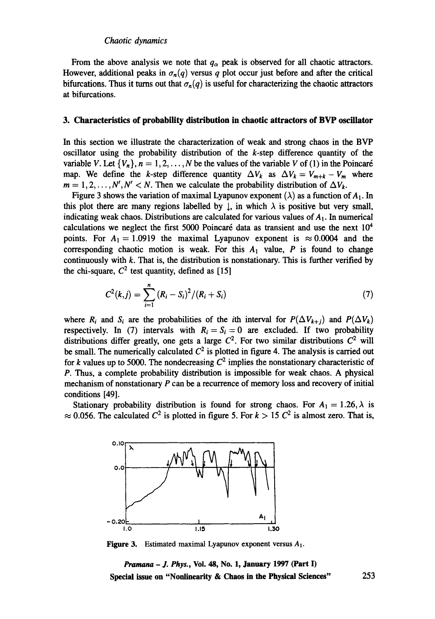#### *Chaotic dynamics*

From the above analysis we note that  $q_{\alpha}$  peak is observed for all chaotic attractors. However, additional peaks in  $\sigma_n(q)$  versus q plot occur just before and after the critical bifurcations. Thus it turns out that  $\sigma_n(q)$  is useful for characterizing the chaotic attractors at bifurcations.

#### **3. Characteristics of probability distribution in chaotic attractors of BVP oscillator**

In this section we illustrate the characterization of weak and strong chaos in the BVP oscillator using the probability distribution of the  $k$ -step difference quantity of the variable V. Let  $\{V_n\}$ ,  $n = 1, 2, ..., N$  be the values of the variable V of (1) in the Poincaré map. We define the k-step difference quantity  $\Delta V_k$  as  $\Delta V_k = V_{m+k} - V_m$  where  $m = 1, 2, \ldots, N', N' < N$ . Then we calculate the probability distribution of  $\Delta V_k$ .

Figure 3 shows the variation of maximal Lyapunov exponent ( $\lambda$ ) as a function of  $A_1$ . In this plot there are many regions labelled by  $\downarrow$ , in which  $\lambda$  is positive but very small, indicating weak chaos. Distributions are calculated for various values of  $A_1$ . In numerical calculations we neglect the first 5000 Poincaré data as transient and use the next  $10<sup>4</sup>$ points. For  $A_1 = 1.0919$  the maximal Lyapunov exponent is  $\approx 0.0004$  and the corresponding chaotic motion is weak. For this  $A_1$  value,  $P$  is found to change continuously with k. That is, the distribution is nonstationary. This is further verified by the chi-square,  $C^2$  test quantity, defined as [15]

$$
C^{2}(k,j) = \sum_{i=1}^{n} (R_{i} - S_{i})^{2} / (R_{i} + S_{i})
$$
\n(7)

where  $R_i$  and  $S_i$  are the probabilities of the *i*th interval for  $P(\Delta V_{k+j})$  and  $P(\Delta V_k)$ respectively. In (7) intervals with  $R_i = S_i = 0$  are excluded. If two probability distributions differ greatly, one gets a large  $C^2$ . For two similar distributions  $C^2$  will be small. The numerically calculated  $C<sup>2</sup>$  is plotted in figure 4. The analysis is carried out for k values up to 5000. The nondecreasing  $C^2$  implies the nonstationary characteristic of P. Thus, a complete probability distribution is impossible for weak chaos. A physical mechanism of nonstationary  $P$  can be a recurrence of memory loss and recovery of initial conditions [49].

Stationary probability distribution is found for strong chaos. For  $A_1 = 1.26$ ,  $\lambda$  is  $\approx 0.056$ . The calculated  $C^2$  is plotted in figure 5. For  $k > 15 C^2$  is almost zero. That is,



**Figure 3.** Estimated maximal Lyapunov exponent versus  $A_1$ .

*Pramana - J. Phys.,* **Vol. 48, No. 1, January 1997 (Part I) Special issue on "Nonlinearity & Chaos in the Physical Sciences"** 253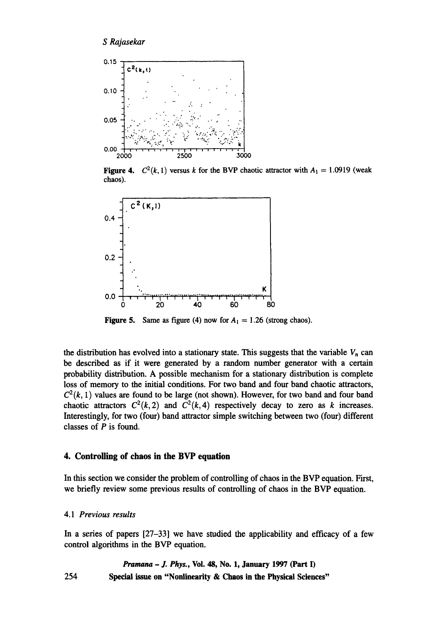

**Figure 4.**  $C^2(k, 1)$  versus k for the BVP chaotic attractor with  $A_1 = 1.0919$  (weak chaos).



**Figure 5.** Same as figure (4) now for  $A_1 = 1.26$  (strong chaos).

the distribution has evolved into a stationary state. This suggests that the variable  $V_n$  can be described as if it were generated by a random number generator with a certain probability distribution. A possible mechanism for a stationary distribution is complete loss of memory to the initial conditions. For two band and four band chaotic attractors,  $C<sup>2</sup>(k, 1)$  values are found to be large (not shown). However, for two band and four band chaotic attractors  $C^2(k,2)$  and  $C^2(k,4)$  respectively decay to zero as k increases. Interestingly, for two (four) band attractor simple switching between two (four) different classes of  $P$  is found.

## **4. Controlling of chaos in the BVP equation**

In this section we consider the problem of controlling of chaos in the BVP equation. First, we briefly review some previous results of controlling of chaos in the BVP equation.

## 4.1 *Previous results*

In a series of papers [27-33] we have studied the applicability and efficacy of a few control algorithms in the BVP equation.

## *Pramana - J. Phys.,* **Vol. 48, No. 1, January 1997** (Part I) **254 Special issue on "Nonlinearity & Chaos in the Physical Sciences"**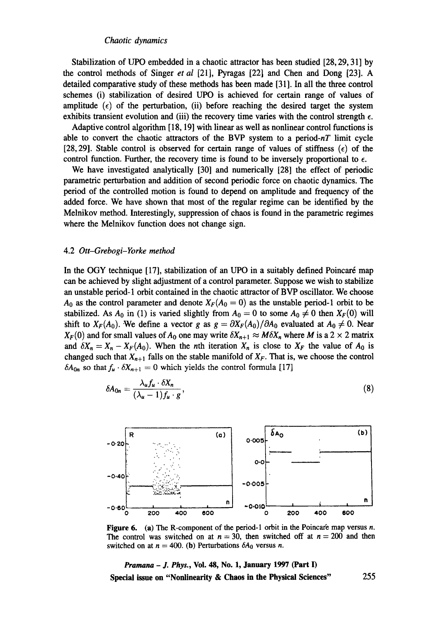#### *Chaotic dynamics*

Stabilization of UPO embedded in a chaotic attractor has been studied [28, 29, 31] by the control methods of Singer *et al* [21], Pyragas [22] and Chen and Dong [23]. A detailed comparative study of these methods has been made [31 ]. In all the three control schemes (i) stabilization of desired UPO is achieved for certain range of values of amplitude  $(\epsilon)$  of the perturbation, (ii) before reaching the desired target the system exhibits transient evolution and (iii) the recovery time varies with the control strength  $\epsilon$ .

Adaptive control algorithm [18, 19] with linear as well as nonlinear control functions is able to convert the chaotic attractors of the BVP system to a period- $nT$  limit cycle [28, 29]. Stable control is observed for certain range of values of stiffness ( $\epsilon$ ) of the control function. Further, the recovery time is found to be inversely proportional to  $\epsilon$ .

We have investigated analytically [30] and numerically [28] the effect of periodic parametric perturbation and addition of second periodic force on chaotic dynamics. The period of the controlled motion is found to depend on amplitude and frequency of the added force. We have shown that most of the regular regime can be identified by the Melnikov method. Interestingly, suppression of chaos is found in the parametric regimes where the Melnikov function does not change sign.

#### 4.20tt-Grebogi-Yorke *method*

In the OGY technique [17], stabilization of an UPO in a suitably defined Poincaré map can be achieved by slight adjustment of a control parameter. Suppose we wish to stabilize an unstable period-1 orbit contained in the chaotic attractor of BVP oscillator. We choose  $A_0$  as the control parameter and denote  $X_F(A_0 = 0)$  as the unstable period-1 orbit to be stabilized. As  $A_0$  in (1) is varied slightly from  $A_0 = 0$  to some  $A_0 \neq 0$  then  $X_F(0)$  will shift to  $X_F(A_0)$ . We define a vector *g* as  $g = \partial X_F(A_0)/\partial A_0$  evaluated at  $A_0 \neq 0$ . Near  $X_F(0)$  and for small values of  $A_0$  one may write  $\delta X_{n+1} \approx M \delta X_n$  where M is a 2 x 2 matrix and  $\delta X_n = X_n - X_F(A_0)$ . When the *n*th iteration  $X_n$  is close to  $X_F$  the value of  $A_0$  is changed such that  $X_{n+1}$  falls on the stable manifold of  $X_F$ . That is, we choose the control  $\delta A_{0n}$  so that  $f_u \cdot \delta X_{n+1} = 0$  which yields the control formula [17]

$$
\delta A_{0n} = \frac{\lambda_u f_u \cdot \delta X_n}{(\lambda_u - 1) f_u \cdot g},\tag{8}
$$



**Figure 6.** (a) The R-component of the period-1 orbit in the Poincaré map versus n. The control was switched on at  $n = 30$ , then switched off at  $n = 200$  and then switched on at  $n = 400$ . (b) Perturbations  $\delta A_0$  versus n.

*Pramana - J. Phys.,* **Vol. 48, No. 1, January 1997 (Part I) Special issue on "Nonlinearity & Chaos in the Physical Sciences"** 255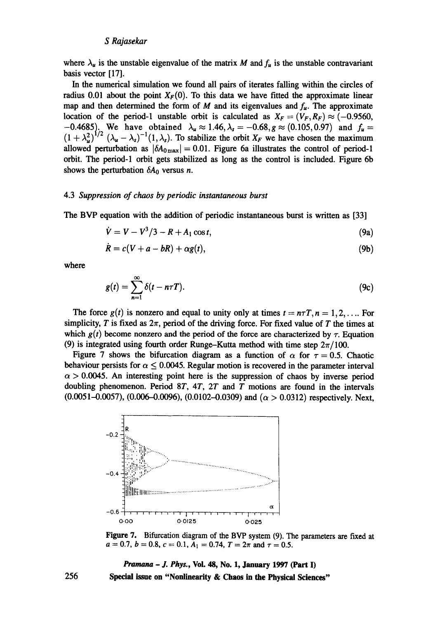where  $\lambda_{\mu}$  is the unstable eigenvalue of the matrix M and  $f_{\mu}$  is the unstable contravariant basis vector [17].

In the numerical simulation we found all pairs of iterates falling within the circles of radius 0.01 about the point  $X_F(0)$ . To this data we have fitted the approximate linear map and then determined the form of M and its eigenvalues and  $f<sub>u</sub>$ . The approximate location of the period-1 unstable orbit is calculated as  $X_F = (V_F, R_F) \approx (-0.9560,$  $-0.4685$ ). We have obtained  $\lambda_u \approx 1.46, \lambda_s = -0.68, g \approx (0.105, 0.97)$  and  $f_u =$  $(1 + \lambda_{\mu}^2)^{1/2} (\lambda_{\mu} - \lambda_s)^{-1}(1, \lambda_s)$ . To stabilize the orbit  $X_F$  we have chosen the maximum allowed perturbation as  $|\delta A_{0\,\text{max}}| = 0.01$ . Figure 6a illustrates the control of period-1 orbit. The period-1 orbit gets stabilized as long as the control is included. Figure 6b shows the perturbation  $\delta A_0$  versus *n*.

## 4.3 *Suppression of chaos by periodic instantaneous burst*

The BVP equation with the addition of periodic instantaneous burst is written as [33]

$$
\dot{V} = V - V^3/3 - R + A_1 \cos t, \tag{9a}
$$

$$
\dot{R} = c(V + a - bR) + \alpha g(t), \qquad (9b)
$$

where

$$
g(t) = \sum_{n=1}^{\infty} \delta(t - n\tau T). \tag{9c}
$$

The force  $g(t)$  is nonzero and equal to unity only at times  $t = n \tau T$ ,  $n = 1, 2, \ldots$  For simplicity, T is fixed as  $2\pi$ , period of the driving force. For fixed value of T the times at which  $g(t)$  become nonzero and the period of the force are characterized by  $\tau$ . Equation (9) is integrated using fourth order Runge-Kutta method with time step  $2\pi/100$ .

Figure 7 shows the bifurcation diagram as a function of  $\alpha$  for  $\tau = 0.5$ . Chaotic behaviour persists for  $\alpha \leq 0.0045$ . Regular motion is recovered in the parameter interval  $\alpha$  > 0.0045. An interesting point here is the suppression of chaos by inverse period doubling phenomenon. Period  $8T$ ,  $4T$ ,  $2T$  and T motions are found in the intervals  $(0.0051-0.0057)$ ,  $(0.006-0.0096)$ ,  $(0.0102-0.0309)$  and  $(\alpha > 0.0312)$  respectively. Next,



Figure 7. Bifurcation diagram of the BVP system (9). The parameters are fixed at  $a = 0.7$ ,  $b = 0.8$ ,  $c = 0.1$ ,  $A_1 = 0.74$ ,  $T = 2\pi$  and  $\tau = 0.5$ .

*Pramana - J. Phys.,* Vol. 48, No. 1, January 1997 (Part I) Special issue **on "Nonlinearity & Chaos in the Physical Sciences"** 

256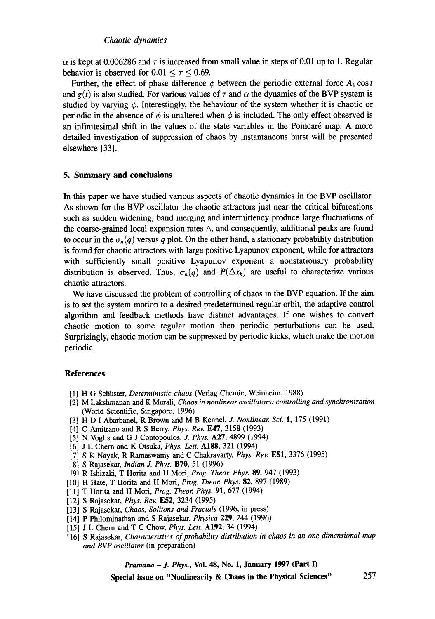#### *Chaotic dynamics*

 $\alpha$  is kept at 0.006286 and  $\tau$  is increased from small value in steps of 0.01 up to 1. Regular behavior is observed for  $0.01 < r < 0.69$ .

Further, the effect of phase difference  $\phi$  between the periodic external force  $A_1 \cos t$ and  $g(t)$  is also studied. For various values of  $\tau$  and  $\alpha$  the dynamics of the BVP system is studied by varying  $\phi$ . Interestingly, the behaviour of the system whether it is chaotic or periodic in the absence of  $\phi$  is unaltered when  $\phi$  is included. The only effect observed is an infinitesimal shift in the values of the state variables in the Poincaré map. A more detailed investigation of suppression of chaos by instantaneous burst will be presented elsewhere [33].

## **5. Summary and conclusions**

In this paper we have studied various aspects of chaotic dynamics in the BVP oscillator. As shown for the BVP oscillator the chaotic attractors just near the critical bifurcations such as sudden widening, band merging and intermittency produce large fluctuations of the coarse-grained local expansion rates  $\wedge$ , and consequently, additional peaks are found to occur in the  $\sigma_n(q)$  versus q plot. On the other hand, a stationary probability distribution is found for chaotic attractors with large positive Lyapunov exponent, while for attractors with sufficiently small positive Lyapunov exponent a nonstationary probability distribution is observed. Thus,  $\sigma_n(q)$  and  $P(\Delta x_k)$  are useful to characterize various chaotic attractors.

We have discussed the problem of controlling of chaos in the BVP equation. If the aim is to set the system motion to a desired predetermined regular orbit, the adaptive control algorithm and feedback methods have distinct advantages. If one wishes to convert chaotic motion to some regular motion then periodic perturbations can be used. Surprisingly, chaotic motion can be suppressed by periodic kicks, which make the motion periodic.

#### **References**

- [1] H G Scliiaster, *Deterministic chaos* (Verlag Chemie, Weinheim, 1988)
- [2] M Lakshmanan and K Murali, *Chaos in nonlinear oscillators: controlling and synchronization*  (World Scientific, Singapore, 1996)
- [3] H D I Abarbanel, R Brown and M B Kennel, *J. Nonlinear. Sci.* 1, 175 (1991)
- [4] C Amitrano and R S Berry, *Phys. Rev.* **E47**, 3158 (1993)
- [5] N Voglis and G J Contopoulos, J. *Phys.* A27, 4899 (1994)
- [6] J L Chem and K Otsuka, *Phys. Lett.* A188, 321 (1994)
- [7] S K Nayak, R Ramaswamy and C Chakravarty, *Phys. Rev.* E51, 3376 (1995)
- [8] S Rajasekar, *Indian J. Phys.* B70, 51 (1996)
- [9] R Ishizaki, T Horita and H Moil, *Prog. Theor. Phys.* 89, 947 (1993)
- [10] H Hate, T Horita and H Mori, *Prog. Theor. Phys.* 82, 897 (1989)
- [11] T Horita and H Mori, *Prog. Theor. Phys.* **91**, 677 (1994)
- [12] S Rajasekar, *Phys. Rev.* E52, 3234 (1995)
- [13] S Rajasekar, *Chaos, Solitons and Fractals* (1996, in press)
- [14] P Philominathan and S Rajasekar, *Physica* 229, 244 (1996)
- [15] J L Chern and T C Chow, *Phys. Lett.* A192, 34 (1994)
- [16] S Rajasekar, *Characteristics of probability distribution in chaos in an one dimensional map and BVP oscillator* (in preparation)

*Pramana - J. Phys.,* **Vol. 48, No. 1, January 1997 (Part I)** 

**Special issue on "Nonlinearity & Chaos in the Physical Sciences"** 257